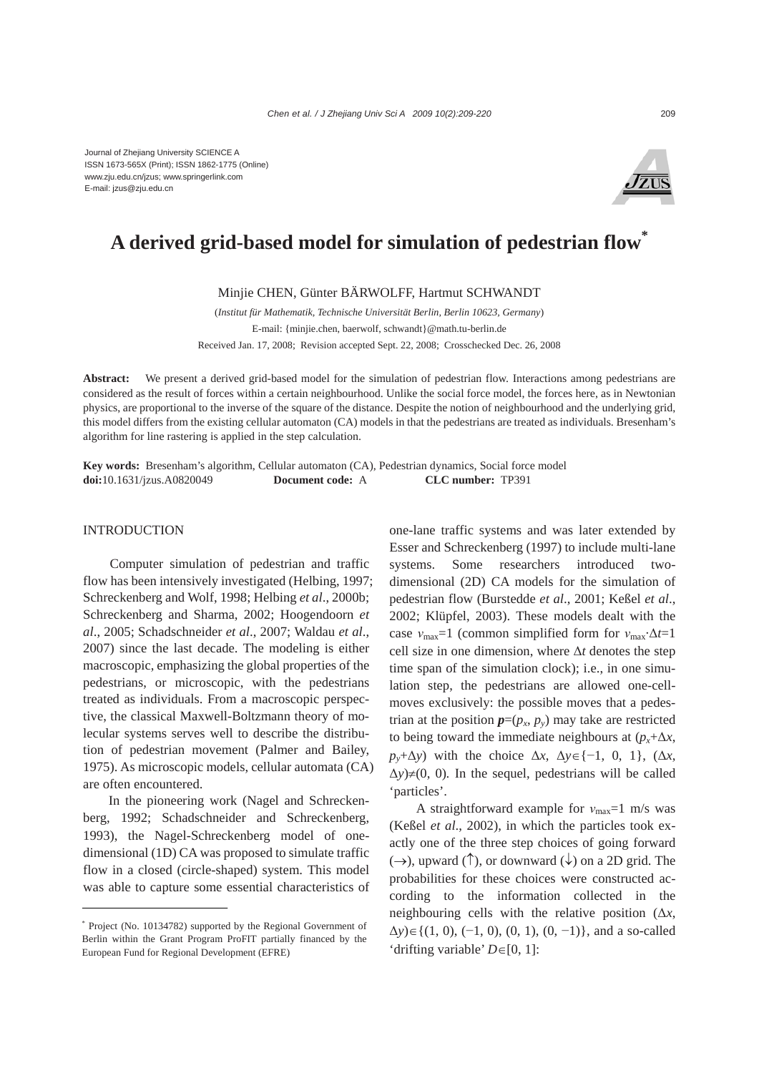

# **A derived grid-based model for simulation of pedestrian flow\***

Minjie CHEN, Günter BÄRWOLFF, Hartmut SCHWANDT

(*Institut für Mathematik, Technische Universität Berlin, Berlin 10623, Germany*) E-mail: {minjie.chen, baerwolf, schwandt}@math.tu-berlin.de Received Jan. 17, 2008; Revision accepted Sept. 22, 2008; Crosschecked Dec. 26, 2008

**Abstract:** We present a derived grid-based model for the simulation of pedestrian flow. Interactions among pedestrians are considered as the result of forces within a certain neighbourhood. Unlike the social force model, the forces here, as in Newtonian physics, are proportional to the inverse of the square of the distance. Despite the notion of neighbourhood and the underlying grid, this model differs from the existing cellular automaton (CA) models in that the pedestrians are treated as individuals. Bresenham's algorithm for line rastering is applied in the step calculation.

**Key words:** Bresenham's algorithm, Cellular automaton (CA), Pedestrian dynamics, Social force model **doi:**10.1631/jzus.A0820049 **Document code:** A **CLC number:** TP391

#### **INTRODUCTION**

Computer simulation of pedestrian and traffic flow has been intensively investigated (Helbing, 1997; Schreckenberg and Wolf, 1998; Helbing *et al*., 2000b; Schreckenberg and Sharma, 2002; Hoogendoorn *et al*., 2005; Schadschneider *et al*., 2007; Waldau *et al*., 2007) since the last decade. The modeling is either macroscopic, emphasizing the global properties of the pedestrians, or microscopic, with the pedestrians treated as individuals. From a macroscopic perspective, the classical Maxwell-Boltzmann theory of molecular systems serves well to describe the distribution of pedestrian movement (Palmer and Bailey, 1975). As microscopic models, cellular automata (CA) are often encountered.

In the pioneering work (Nagel and Schreckenberg, 1992; Schadschneider and Schreckenberg, 1993), the Nagel-Schreckenberg model of onedimensional (1D) CA was proposed to simulate traffic flow in a closed (circle-shaped) system. This model was able to capture some essential characteristics of one-lane traffic systems and was later extended by Esser and Schreckenberg (1997) to include multi-lane systems. Some researchers introduced twodimensional (2D) CA models for the simulation of pedestrian flow (Burstedde *et al*., 2001; Keßel *et al*., 2002; Klüpfel, 2003). These models dealt with the case *ν*max=1 (common simplified form for *ν*max·Δ*t*=1 cell size in one dimension, where Δ*t* denotes the step time span of the simulation clock); i.e., in one simulation step, the pedestrians are allowed one-cellmoves exclusively: the possible moves that a pedestrian at the position  $p=(p_x, p_y)$  may take are restricted to being toward the immediate neighbours at  $(p_x + \Delta x)$ , *p<sub>ν</sub>*+Δ*y*) with the choice Δ*x*, Δ*y*∈{-1, 0, 1}, (Δ*x*,  $\Delta y \neq (0, 0)$ . In the sequel, pedestrians will be called 'particles'.

A straightforward example for *ν*<sub>max</sub>=1 m/s was (Keßel *et al*., 2002), in which the particles took exactly one of the three step choices of going forward  $(\rightarrow)$ , upward ( $\uparrow$ ), or downward ( $\downarrow$ ) on a 2D grid. The probabilities for these choices were constructed according to the information collected in the neighbouring cells with the relative position  $(\Delta x,$  $(\Delta y) \in \{(1, 0), (-1, 0), (0, 1), (0, -1)\}\$ , and a so-called 'drifting variable' *D*∈[0, 1]:

<sup>\*</sup> Project (No. 10134782) supported by the Regional Government of Berlin within the Grant Program ProFIT partially financed by the European Fund for Regional Development (EFRE)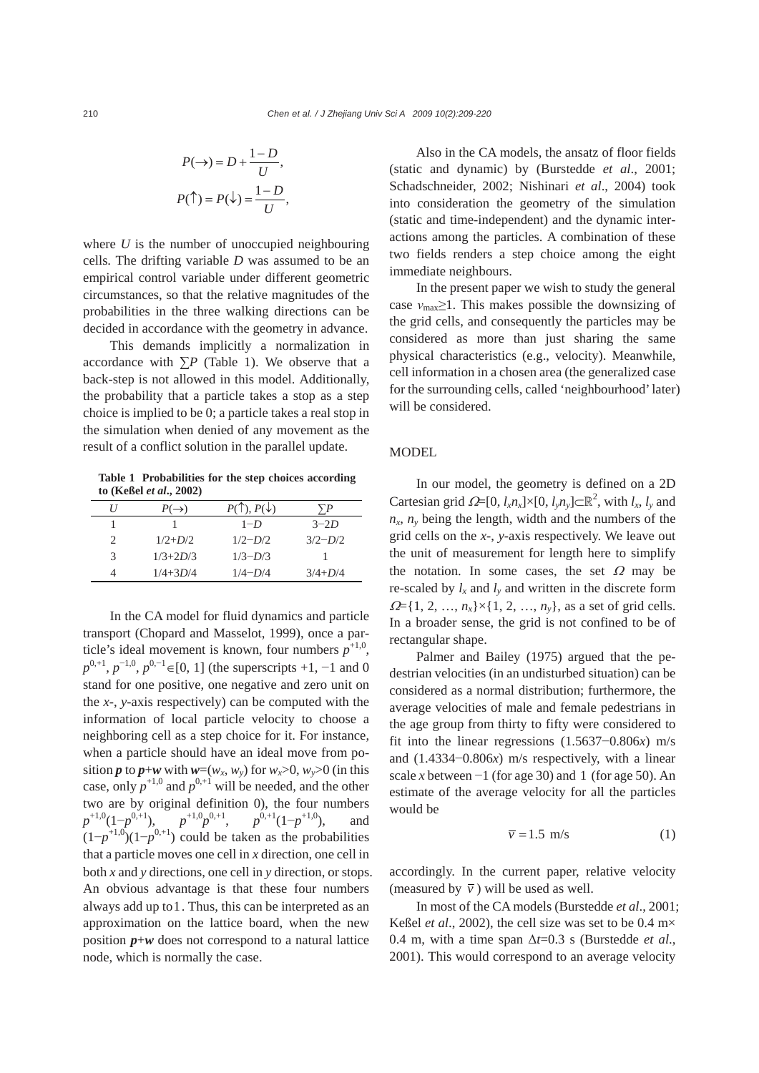$$
P(\rightarrow) = D + \frac{1 - D}{U},
$$
  

$$
P(\uparrow) = P(\downarrow) = \frac{1 - D}{U},
$$

where  $U$  is the number of unoccupied neighbouring cells. The drifting variable *D* was assumed to be an empirical control variable under different geometric circumstances, so that the relative magnitudes of the probabilities in the three walking directions can be decided in accordance with the geometry in advance.

This demands implicitly a normalization in accordance with  $\Sigma P$  (Table 1). We observe that a back-step is not allowed in this model. Additionally, the probability that a particle takes a stop as a step choice is implied to be 0; a particle takes a real stop in the simulation when denied of any movement as the result of a conflict solution in the parallel update.

**Table 1 Probabilities for the step choices according to (Keßel** *et al***., 2002)**

| U             | $P(\rightarrow)$ | $P(\uparrow), P(\downarrow)$ |             |
|---------------|------------------|------------------------------|-------------|
|               |                  | $1-D$                        | $3-2D$      |
| $\mathcal{L}$ | $1/2 + D/2$      | $1/2-D/2$                    | $3/2-D/2$   |
| 3             | $1/3 + 2D/3$     | $1/3 - D/3$                  |             |
|               | $1/4 + 3D/4$     | $1/4-D/4$                    | $3/4 + D/4$ |

In the CA model for fluid dynamics and particle transport (Chopard and Masselot, 1999), once a particle's ideal movement is known, four numbers  $p^{+1,0}$ ,  $p^{0,+1}$ ,  $p^{-1,0}$ ,  $p^{0,-1} \in [0, 1]$  (the superscripts +1, -1 and 0 stand for one positive, one negative and zero unit on the *x*-, *y*-axis respectively) can be computed with the information of local particle velocity to choose a neighboring cell as a step choice for it. For instance, when a particle should have an ideal move from position **p** to **p**+**w** with **w**=( $w_x$ ,  $w_y$ ) for  $w_x > 0$ ,  $w_y > 0$  (in this case, only  $p^{+1,0}$  and  $p^{0,+1}$  will be needed, and the other two are by original definition 0), the four numbers *p*<sup>+1,0</sup>(1−*p*<sup>0,+1</sup>), *p*<sup>+1,0</sup>*p*<sup>0,+1</sup>, *p*<sup>0,+1</sup>(1−*p*<sup>+1,0</sup>), and  $(1-p^{+1,0})(1-p^{0,+1})$  could be taken as the probabilities that a particle moves one cell in *x* direction, one cell in both *x* and *y* directions, one cell in *y* direction, or stops. An obvious advantage is that these four numbers always add up to1. Thus, this can be interpreted as an approximation on the lattice board, when the new position  $p+w$  does not correspond to a natural lattice node, which is normally the case.

Also in the CA models, the ansatz of floor fields (static and dynamic) by (Burstedde *et al*., 2001; Schadschneider, 2002; Nishinari *et al*., 2004) took into consideration the geometry of the simulation (static and time-independent) and the dynamic interactions among the particles. A combination of these two fields renders a step choice among the eight immediate neighbours.

In the present paper we wish to study the general case  $v_{\text{max}} \geq 1$ . This makes possible the downsizing of the grid cells, and consequently the particles may be considered as more than just sharing the same physical characteristics (e.g., velocity). Meanwhile, cell information in a chosen area (the generalized case for the surrounding cells, called 'neighbourhood' later) will be considered.

## **MODEL**

In our model, the geometry is defined on a 2D Cartesian grid  $\Omega$ =[0,  $l_x n_x$ ]×[0,  $l_y n_y$ ] $\subset \mathbb{R}^2$ , with  $l_x$ ,  $l_y$  and  $n_x$ ,  $n_y$  being the length, width and the numbers of the grid cells on the *x*-, *y*-axis respectively. We leave out the unit of measurement for length here to simplify the notation. In some cases, the set  $\Omega$  may be re-scaled by  $l_x$  and  $l_y$  and written in the discrete form  $\Omega = \{1, 2, ..., n_x\} \times \{1, 2, ..., n_y\}$ , as a set of grid cells. In a broader sense, the grid is not confined to be of rectangular shape.

Palmer and Bailey (1975) argued that the pedestrian velocities (in an undisturbed situation) can be considered as a normal distribution; furthermore, the average velocities of male and female pedestrians in the age group from thirty to fifty were considered to fit into the linear regressions (1.5637−0.806*x*) m/s and (1.4334−0.806*x*) m/s respectively, with a linear scale *x* between  $-1$  (for age 30) and 1 (for age 50). An estimate of the average velocity for all the particles would be

$$
\overline{v} = 1.5 \text{ m/s} \tag{1}
$$

accordingly. In the current paper, relative velocity (measured by  $\bar{v}$ ) will be used as well.

In most of the CA models (Burstedde *et al*., 2001; Keßel *et al.*, 2002), the cell size was set to be 0.4 m $\times$ 0.4 m, with a time span Δ*t*=0.3 s (Burstedde *et al*., 2001). This would correspond to an average velocity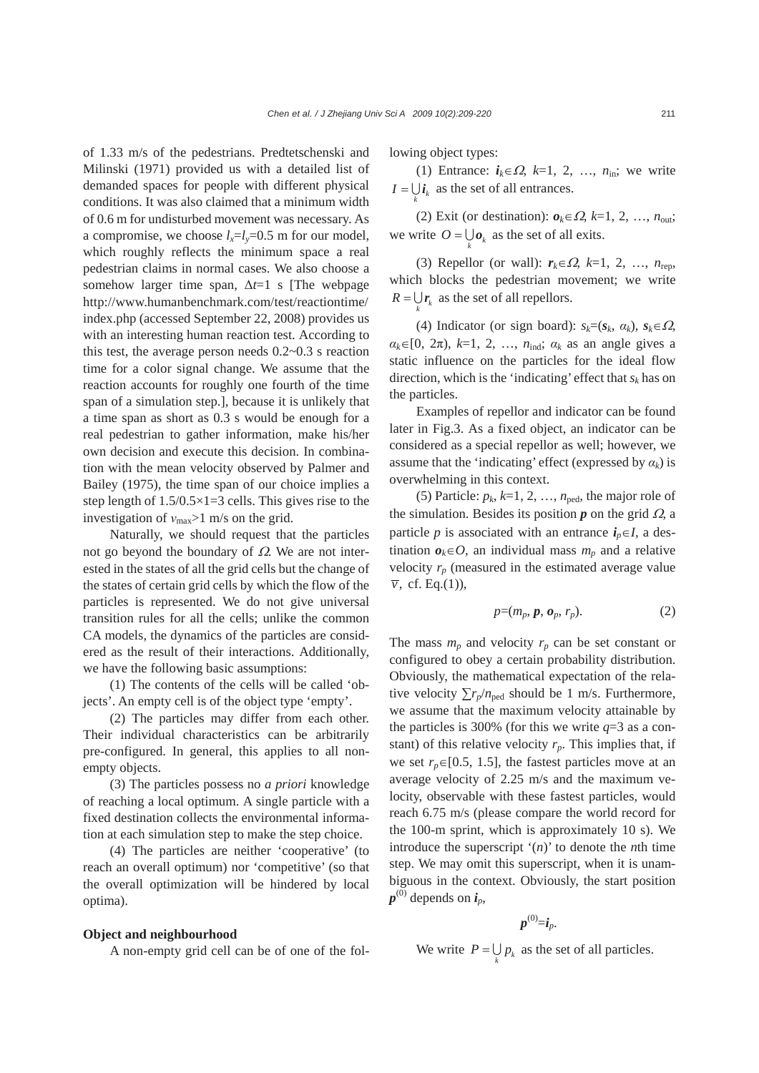of 1.33 m/s of the pedestrians. Predtetschenski and Milinski (1971) provided us with a detailed list of demanded spaces for people with different physical conditions. It was also claimed that a minimum width of 0.6 m for undisturbed movement was necessary. As a compromise, we choose  $l_x = l_y = 0.5$  m for our model, which roughly reflects the minimum space a real pedestrian claims in normal cases. We also choose a somehow larger time span, Δ*t*=1 s [The webpage http://www.humanbenchmark.com/test/reactiontime/ index.php (accessed September 22, 2008) provides us with an interesting human reaction test. According to this test, the average person needs 0.2~0.3 s reaction time for a color signal change. We assume that the reaction accounts for roughly one fourth of the time span of a simulation step.], because it is unlikely that a time span as short as 0.3 s would be enough for a real pedestrian to gather information, make his/her own decision and execute this decision. In combination with the mean velocity observed by Palmer and Bailey (1975), the time span of our choice implies a step length of  $1.5/0.5 \times 1=3$  cells. This gives rise to the investigation of *ν*<sub>max</sub>>1 m/s on the grid.

Naturally, we should request that the particles not go beyond the boundary of  $\Omega$ . We are not interested in the states of all the grid cells but the change of the states of certain grid cells by which the flow of the particles is represented. We do not give universal transition rules for all the cells; unlike the common CA models, the dynamics of the particles are considered as the result of their interactions. Additionally, we have the following basic assumptions:

(1) The contents of the cells will be called 'objects'. An empty cell is of the object type 'empty'.

(2) The particles may differ from each other. Their individual characteristics can be arbitrarily pre-configured. In general, this applies to all nonempty objects.

(3) The particles possess no *a priori* knowledge of reaching a local optimum. A single particle with a fixed destination collects the environmental information at each simulation step to make the step choice.

(4) The particles are neither 'cooperative' (to reach an overall optimum) nor 'competitive' (so that the overall optimization will be hindered by local optima).

#### **Object and neighbourhood**

A non-empty grid cell can be of one of the fol-

lowing object types:

(1) Entrance:  $i_k \in \Omega$ ,  $k=1, 2, ..., n_{\text{in}}$ ; we write  $I = \bigcup_k i_k$  as the set of all entrances.

(2) Exit (or destination):  $o_k \in \Omega$ ,  $k=1, 2, ..., n_{\text{out}}$ ; we write  $O = \bigcup_k o_k$  as the set of all exits.

(3) Repellor (or wall):  $r_k \in \Omega$ ,  $k=1, 2, ..., n_{\text{ren}}$ , which blocks the pedestrian movement; we write  $R = \bigcup_k r_k$  as the set of all repellors.

(4) Indicator (or sign board):  $s_k = (s_k, \alpha_k)$ ,  $s_k \in \Omega$ ,  $\alpha_k \in [0, 2\pi)$ ,  $k=1, 2, \ldots, n_{\text{ind}}$ ;  $\alpha_k$  as an angle gives a static influence on the particles for the ideal flow direction, which is the 'indicating' effect that *sk* has on the particles.

Examples of repellor and indicator can be found later in Fig.3. As a fixed object, an indicator can be considered as a special repellor as well; however, we assume that the 'indicating' effect (expressed by  $\alpha_k$ ) is overwhelming in this context.

(5) Particle:  $p_k$ ,  $k=1, 2, ..., n_{\text{ped}}$ , the major role of the simulation. Besides its position  $p$  on the grid  $\Omega$ , a particle *p* is associated with an entrance  $i_p \in I$ , a destination  $o_k \in O$ , an individual mass  $m_p$  and a relative velocity  $r_p$  (measured in the estimated average value  $\overline{v}$ , cf. Eq.(1)),

$$
p=(m_p, \boldsymbol{p}, \boldsymbol{o}_p, r_p). \tag{2}
$$

The mass  $m_p$  and velocity  $r_p$  can be set constant or configured to obey a certain probability distribution. Obviously, the mathematical expectation of the relative velocity  $\sum r_p/n_{\text{ped}}$  should be 1 m/s. Furthermore, we assume that the maximum velocity attainable by the particles is 300% (for this we write  $q=3$  as a constant) of this relative velocity  $r_p$ . This implies that, if we set  $r_p \in [0.5, 1.5]$ , the fastest particles move at an average velocity of 2.25 m/s and the maximum velocity, observable with these fastest particles, would reach 6.75 m/s (please compare the world record for the 100-m sprint, which is approximately 10 s). We introduce the superscript '(*n*)' to denote the *n*th time step. We may omit this superscript, when it is unambiguous in the context. Obviously, the start position  $p^{(0)}$  depends on  $i_p$ ,

$$
\pmb p^{(0)}\!\!=\!\!\pmb i_p.
$$

We write  $P = \bigcup_k p_k$  as the set of all particles.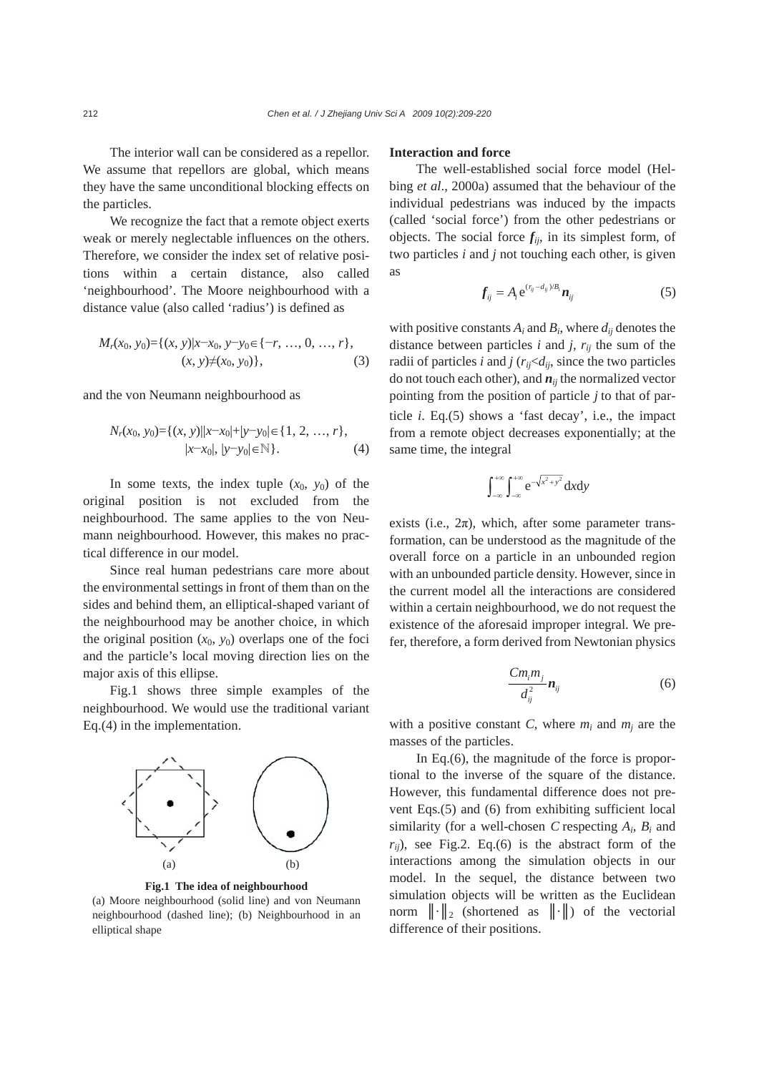The interior wall can be considered as a repellor. We assume that repellors are global, which means they have the same unconditional blocking effects on the particles.

We recognize the fact that a remote object exerts weak or merely neglectable influences on the others. Therefore, we consider the index set of relative positions within a certain distance, also called 'neighbourhood'. The Moore neighbourhood with a distance value (also called 'radius') is defined as

$$
M_r(x_0, y_0) = \{(x, y)|x-x_0, y-y_0 \in \{-r, ..., 0, ..., r\},\
$$

$$
(x, y) \neq (x_0, y_0)\},
$$

$$
(3)
$$

and the von Neumann neighbourhood as

$$
N_r(x_0, y_0) = \{(x, y) \mid |x - x_0| + |y - y_0| \in \{1, 2, ..., r\},
$$
  

$$
|x - x_0|, |y - y_0| \in \mathbb{N}\}.
$$
 (4)

In some texts, the index tuple  $(x_0, y_0)$  of the original position is not excluded from the neighbourhood. The same applies to the von Neumann neighbourhood. However, this makes no practical difference in our model.

Since real human pedestrians care more about the environmental settings in front of them than on the sides and behind them, an elliptical-shaped variant of the neighbourhood may be another choice, in which the original position  $(x_0, y_0)$  overlaps one of the foci and the particle's local moving direction lies on the major axis of this ellipse.

Fig.1 shows three simple examples of the neighbourhood. We would use the traditional variant Eq.(4) in the implementation.





(a) Moore neighbourhood (solid line) and von Neumann neighbourhood (dashed line); (b) Neighbourhood in an elliptical shape

## **Interaction and force**

The well-established social force model (Helbing *et al*., 2000a) assumed that the behaviour of the individual pedestrians was induced by the impacts (called 'social force') from the other pedestrians or objects. The social force  $f_{ij}$ , in its simplest form, of two particles *i* and *j* not touching each other, is given as

$$
\boldsymbol{f}_{ij} = A_i e^{(\boldsymbol{r}_{ij} - d_{ij})/B_i} \boldsymbol{n}_{ij} \tag{5}
$$

with positive constants  $A_i$  and  $B_i$ , where  $d_{ij}$  denotes the distance between particles  $i$  and  $j$ ,  $r_{ij}$  the sum of the radii of particles *i* and *j* ( $r_{ij}$  <  $d_{ij}$ , since the two particles do not touch each other), and  $n_{ij}$  the normalized vector pointing from the position of particle *j* to that of particle *i*. Eq.(5) shows a 'fast decay', i.e., the impact from a remote object decreases exponentially; at the same time, the integral

$$
\int_{-\infty}^{+\infty} \int_{-\infty}^{+\infty} e^{-\sqrt{x^2 + y^2}} dx dy
$$

exists (i.e.,  $2\pi$ ), which, after some parameter transformation, can be understood as the magnitude of the overall force on a particle in an unbounded region with an unbounded particle density. However, since in the current model all the interactions are considered within a certain neighbourhood, we do not request the existence of the aforesaid improper integral. We prefer, therefore, a form derived from Newtonian physics

$$
\frac{Cm_i m_j}{d_{ij}^2} \boldsymbol{n}_{ij} \tag{6}
$$

with a positive constant *C*, where  $m_i$  and  $m_j$  are the masses of the particles.

In Eq.(6), the magnitude of the force is proportional to the inverse of the square of the distance. However, this fundamental difference does not prevent Eqs.(5) and (6) from exhibiting sufficient local similarity (for a well-chosen *C* respecting *Ai*, *Bi* and  $r_{ii}$ ), see Fig.2. Eq.(6) is the abstract form of the interactions among the simulation objects in our model. In the sequel, the distance between two simulation objects will be written as the Euclidean norm  $\|\cdot\|_2$  (shortened as  $\|\cdot\|$ ) of the vectorial difference of their positions.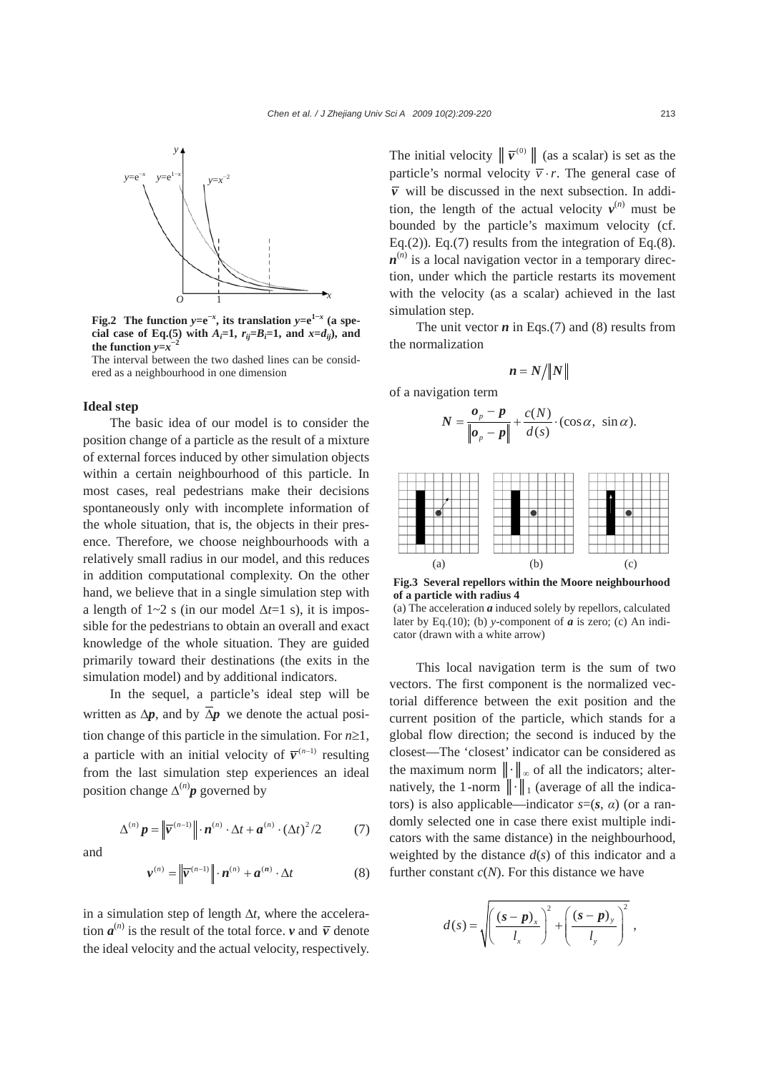

**Fig.2** The function  $y=e^{-x}$ , its translation  $y=e^{1-x}$  (a special case of Eq.(5) with  $A_i=1$ ,  $r_{ij}=B_i=1$ , and  $x=d_{ij}$ , and **the function**  $y=x^{-2}$ 

The interval between the two dashed lines can be considered as a neighbourhood in one dimension

#### **Ideal step**

The basic idea of our model is to consider the position change of a particle as the result of a mixture of external forces induced by other simulation objects within a certain neighbourhood of this particle. In most cases, real pedestrians make their decisions spontaneously only with incomplete information of the whole situation, that is, the objects in their presence. Therefore, we choose neighbourhoods with a relatively small radius in our model, and this reduces in addition computational complexity. On the other hand, we believe that in a single simulation step with a length of  $1~2$  s (in our model  $\Delta t = 1$  s), it is impossible for the pedestrians to obtain an overall and exact knowledge of the whole situation. They are guided primarily toward their destinations (the exits in the simulation model) and by additional indicators.

In the sequel, a particle's ideal step will be written as  $\Delta p$ , and by  $\overline{\Delta} p$  we denote the actual position change of this particle in the simulation. For *n*≥1, a particle with an initial velocity of  $\bar{v}^{(n-1)}$  resulting from the last simulation step experiences an ideal position change  $\Delta^{(n)} p$  governed by

$$
\Delta^{(n)}\mathbf{p} = \left\| \overline{\mathbf{v}}^{(n-1)} \right\| \cdot \mathbf{n}^{(n)} \cdot \Delta t + \mathbf{a}^{(n)} \cdot (\Delta t)^2 / 2 \tag{7}
$$

and

$$
\boldsymbol{\nu}^{(n)} = \left\| \overline{\boldsymbol{\nu}}^{(n-1)} \right\| \cdot \boldsymbol{n}^{(n)} + \boldsymbol{a}^{(n)} \cdot \Delta t \tag{8}
$$

in a simulation step of length Δ*t*, where the acceleration  $a^{(n)}$  is the result of the total force. *v* and  $\overline{v}$  denote the ideal velocity and the actual velocity, respectively.

The initial velocity  $\|\bar{v}^{(0)}\|$  (as a scalar) is set as the particle's normal velocity  $\overline{v} \cdot r$ . The general case of  $\overline{v}$  will be discussed in the next subsection. In addition, the length of the actual velocity  $v^{(n)}$  must be bounded by the particle's maximum velocity (cf. Eq.(2)). Eq.(7) results from the integration of Eq.(8).  $n^{(n)}$  is a local navigation vector in a temporary direction, under which the particle restarts its movement with the velocity (as a scalar) achieved in the last simulation step.

The unit vector  $\boldsymbol{n}$  in Eqs.(7) and (8) results from the normalization

$$
n = N / \|N\|
$$

of a navigation term

$$
N = \frac{\mathbf{0}_p - \mathbf{p}}{\left\| \mathbf{0}_p - \mathbf{p} \right\|} + \frac{c(N)}{d(s)} \cdot (\cos \alpha, \ \sin \alpha).
$$



**Fig.3 Several repellors within the Moore neighbourhood of a particle with radius 4** 

(a) The acceleration *a* induced solely by repellors, calculated later by Eq.(10); (b) *y*-component of *a* is zero; (c) An indicator (drawn with a white arrow)

This local navigation term is the sum of two vectors. The first component is the normalized vectorial difference between the exit position and the current position of the particle, which stands for a global flow direction; the second is induced by the closest—The 'closest' indicator can be considered as the maximum norm  $\|\cdot\|_{\infty}$  of all the indicators; alternatively, the 1-norm  $\|\cdot\|_1$  (average of all the indicators) is also applicable—indicator  $s=(s, \alpha)$  (or a randomly selected one in case there exist multiple indicators with the same distance) in the neighbourhood, weighted by the distance  $d(s)$  of this indicator and a further constant *c*(*N*). For this distance we have

$$
d(s) = \sqrt{\left(\frac{(s-p)_x}{l_x}\right)^2 + \left(\frac{(s-p)_y}{l_y}\right)^2},
$$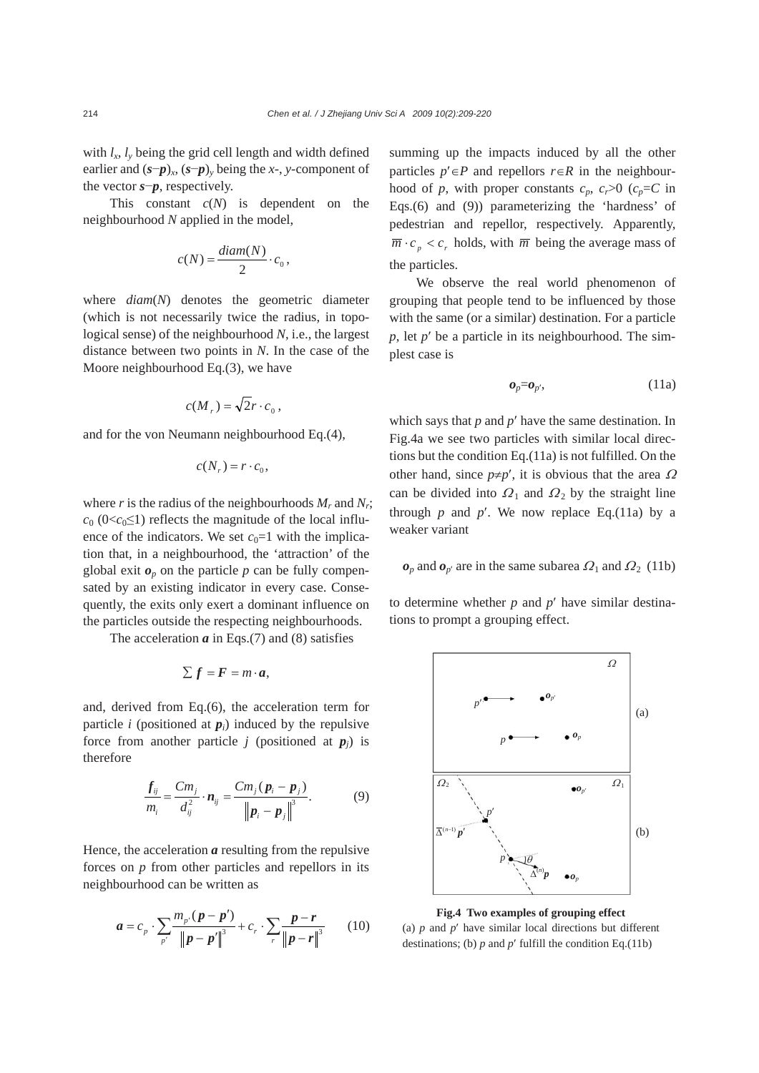with  $l_x$ ,  $l_y$  being the grid cell length and width defined earlier and  $(s-p)_x$ ,  $(s-p)_y$  being the *x*-, *y*-component of the vector *s*−*p*, respectively.

This constant *c*(*N*) is dependent on the neighbourhood *N* applied in the model,

$$
c(N) = \frac{diam(N)}{2} \cdot c_0,
$$

where *diam*(*N*) denotes the geometric diameter (which is not necessarily twice the radius, in topological sense) of the neighbourhood *N*, i.e., the largest distance between two points in *N*. In the case of the Moore neighbourhood Eq.(3), we have

$$
c(M_r) = \sqrt{2}r \cdot c_0,
$$

and for the von Neumann neighbourhood Eq.(4),

$$
c(N_r) = r \cdot c_0,
$$

where *r* is the radius of the neighbourhoods  $M_r$  and  $N_r$ ;  $c_0$  (0< $c_0$ ≤1) reflects the magnitude of the local influence of the indicators. We set  $c_0=1$  with the implication that, in a neighbourhood, the 'attraction' of the global exit  $o_p$  on the particle  $p$  can be fully compensated by an existing indicator in every case. Consequently, the exits only exert a dominant influence on the particles outside the respecting neighbourhoods.

The acceleration  $a$  in Eqs.(7) and (8) satisfies

$$
\sum f = F = m \cdot a,
$$

and, derived from Eq.(6), the acceleration term for particle *i* (positioned at  $p_i$ ) induced by the repulsive force from another particle *j* (positioned at  $p_j$ ) is therefore

$$
\frac{f_{ij}}{m_i} = \frac{Cm_j}{d_{ij}^2} \cdot \boldsymbol{n}_{ij} = \frac{Cm_j(\boldsymbol{p}_i - \boldsymbol{p}_j)}{\left\| \boldsymbol{p}_i - \boldsymbol{p}_j \right\|^3}.
$$
 (9)

Hence, the acceleration *a* resulting from the repulsive forces on *p* from other particles and repellors in its neighbourhood can be written as

$$
a = c_p \cdot \sum_{p'} \frac{m_{p'}(p - p')}{\left\|p - p'\right\|^3} + c_r \cdot \sum_{r} \frac{p - r}{\left\|p - r\right\|^3} \qquad (10)
$$

summing up the impacts induced by all the other particles  $p' \in P$  and repellors  $r \in R$  in the neighbourhood of p, with proper constants  $c_p$ ,  $c_r > 0$  ( $c_p = C$  in Eqs.(6) and (9)) parameterizing the 'hardness' of pedestrian and repellor, respectively. Apparently,  $\overline{m} \cdot c_n < c_r$  holds, with  $\overline{m}$  being the average mass of the particles.

We observe the real world phenomenon of grouping that people tend to be influenced by those with the same (or a similar) destination. For a particle  $p$ , let  $p'$  be a particle in its neighbourhood. The simplest case is

$$
\boldsymbol{o}_p = \boldsymbol{o}_{p'},\tag{11a}
$$

which says that *p* and *p*′ have the same destination. In Fig.4a we see two particles with similar local directions but the condition Eq.(11a) is not fulfilled. On the other hand, since  $p \neq p'$ , it is obvious that the area  $\Omega$ can be divided into  $\Omega_1$  and  $\Omega_2$  by the straight line through  $p$  and  $p'$ . We now replace Eq.(11a) by a weaker variant

$$
\boldsymbol{o}_p
$$
 and  $\boldsymbol{o}_{p'}$  are in the same subarea  $\Omega_1$  and  $\Omega_2$  (11b)

to determine whether *p* and *p*′ have similar destinations to prompt a grouping effect.



**Fig.4 Two examples of grouping effect**  (a) *p* and *p*′ have similar local directions but different destinations; (b)  $p$  and  $p'$  fulfill the condition Eq.(11b)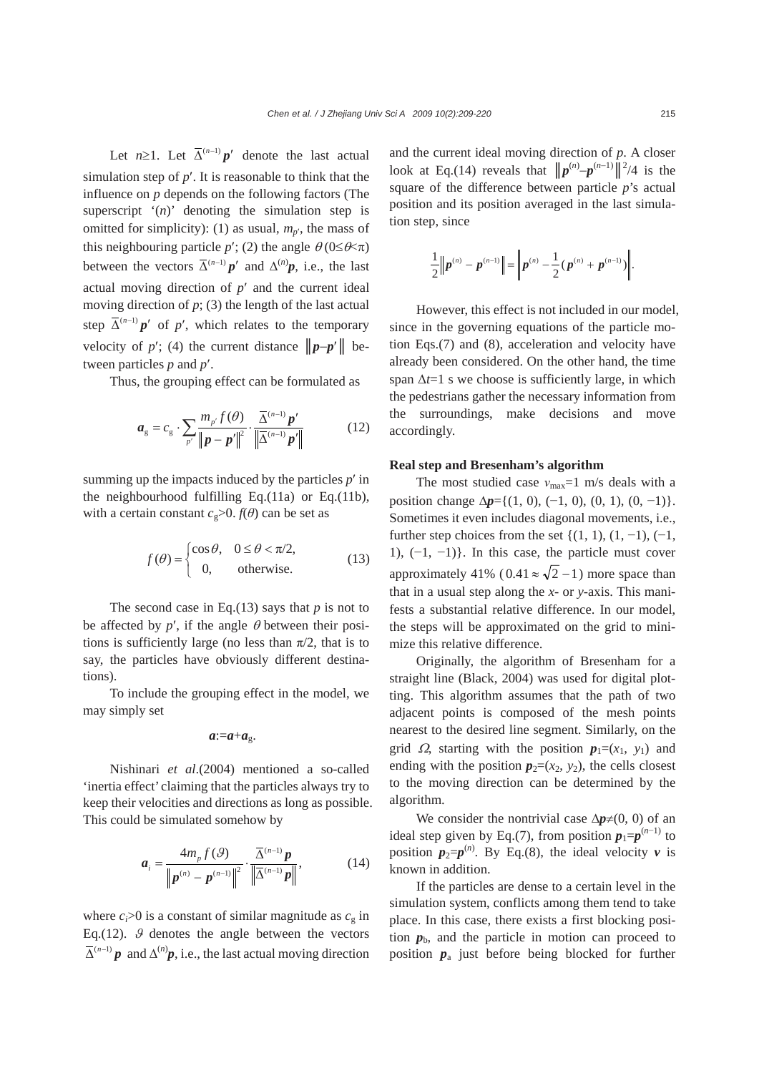Let  $n\geq 1$ . Let  $\overline{\Delta}^{(n-1)} p'$  denote the last actual simulation step of *p*′. It is reasonable to think that the influence on *p* depends on the following factors (The superscript  $(n)$  denoting the simulation step is omitted for simplicity): (1) as usual,  $m_{p'}$ , the mass of this neighbouring particle p'; (2) the angle  $\theta$  (0≤ $\theta$  $\lt$  $\pi$ ) between the vectors  $\overline{\Delta}^{(n-1)} p'$  and  $\Delta^{(n)} p$ , i.e., the last actual moving direction of *p*′ and the current ideal moving direction of  $p$ ; (3) the length of the last actual step  $\overline{\Delta}^{(n-1)}$  *p'* of *p'*, which relates to the temporary velocity of *p*′; (4) the current distance  $||p-p'||$  between particles *p* and *p*′.

Thus, the grouping effect can be formulated as

$$
\boldsymbol{a}_{g} = c_{g} \cdot \sum_{p'} \frac{m_{p'} f(\boldsymbol{\theta})}{\left\| \boldsymbol{p} - \boldsymbol{p'} \right\|^{2}} \cdot \frac{\overline{\Delta}^{(n-1)} \boldsymbol{p'}}{\left\| \overline{\Delta}^{(n-1)} \boldsymbol{p'} \right\|}
$$
(12)

summing up the impacts induced by the particles *p*′ in the neighbourhood fulfilling Eq.(11a) or Eq.(11b), with a certain constant  $c_g > 0$ .  $f(\theta)$  can be set as

$$
f(\theta) = \begin{cases} \cos \theta, & 0 \le \theta < \pi/2, \\ 0, & \text{otherwise.} \end{cases}
$$
 (13)

The second case in Eq.(13) says that *p* is not to be affected by  $p'$ , if the angle  $\theta$  between their positions is sufficiently large (no less than  $\pi/2$ , that is to say, the particles have obviously different destinations).

To include the grouping effect in the model, we may simply set

$$
a:=a+a_{\rm g}.
$$

Nishinari *et al*.(2004) mentioned a so-called 'inertia effect' claiming that the particles always try to keep their velocities and directions as long as possible. This could be simulated somehow by

$$
a_{i} = \frac{4m_{p}f(\mathcal{G})}{\left\|p^{(n)} - p^{(n-1)}\right\|^{2}} \cdot \frac{\overline{\Delta}^{(n-1)} p}{\left\|\overline{\Delta}^{(n-1)} p\right\|},
$$
(14)

where  $c_i$ >0 is a constant of similar magnitude as  $c_g$  in Eq.(12).  $\theta$  denotes the angle between the vectors  $\overline{\Delta}^{(n-1)}$  *p* and  $\Delta^{(n)}$ *p*, i.e., the last actual moving direction and the current ideal moving direction of *p*. A closer look at Eq.(14) reveals that  $||p^{(n)}-p^{(n-1)}||^2/4$  is the square of the difference between particle *p*'s actual position and its position averaged in the last simulation step, since

$$
\frac{1}{2}\left\|\boldsymbol{p}^{(n)}-\boldsymbol{p}^{(n-1)}\right\|=\left\|\boldsymbol{p}^{(n)}-\frac{1}{2}(\boldsymbol{p}^{(n)}+\boldsymbol{p}^{(n-1)})\right\|.
$$

However, this effect is not included in our model, since in the governing equations of the particle motion Eqs.(7) and (8), acceleration and velocity have already been considered. On the other hand, the time span  $\Delta t = 1$  s we choose is sufficiently large, in which the pedestrians gather the necessary information from the surroundings, make decisions and move accordingly.

#### **Real step and Bresenham's algorithm**

The most studied case  $v_{\text{max}}=1$  m/s deals with a position change  $\Delta p = \{(1, 0), (-1, 0), (0, 1), (0, -1)\}.$ Sometimes it even includes diagonal movements, i.e., further step choices from the set  $\{(1, 1), (1, -1), (-1,$ 1),  $(-1, -1)$ . In this case, the particle must cover approximately 41% (0.41  $\approx \sqrt{2} - 1$ ) more space than that in a usual step along the *x*- or *y*-axis. This manifests a substantial relative difference. In our model, the steps will be approximated on the grid to minimize this relative difference.

Originally, the algorithm of Bresenham for a straight line (Black, 2004) was used for digital plotting. This algorithm assumes that the path of two adjacent points is composed of the mesh points nearest to the desired line segment. Similarly, on the grid  $\Omega$ , starting with the position  $p_1=(x_1, y_1)$  and ending with the position  $p_2=(x_2, y_2)$ , the cells closest to the moving direction can be determined by the algorithm.

We consider the nontrivial case  $\Delta p \neq (0, 0)$  of an ideal step given by Eq.(7), from position  $p_1=p^{(n-1)}$  to position  $p_2 = p^{(n)}$ . By Eq.(8), the ideal velocity  $\nu$  is known in addition.

If the particles are dense to a certain level in the simulation system, conflicts among them tend to take place. In this case, there exists a first blocking position  $p<sub>b</sub>$ , and the particle in motion can proceed to position *p*a just before being blocked for further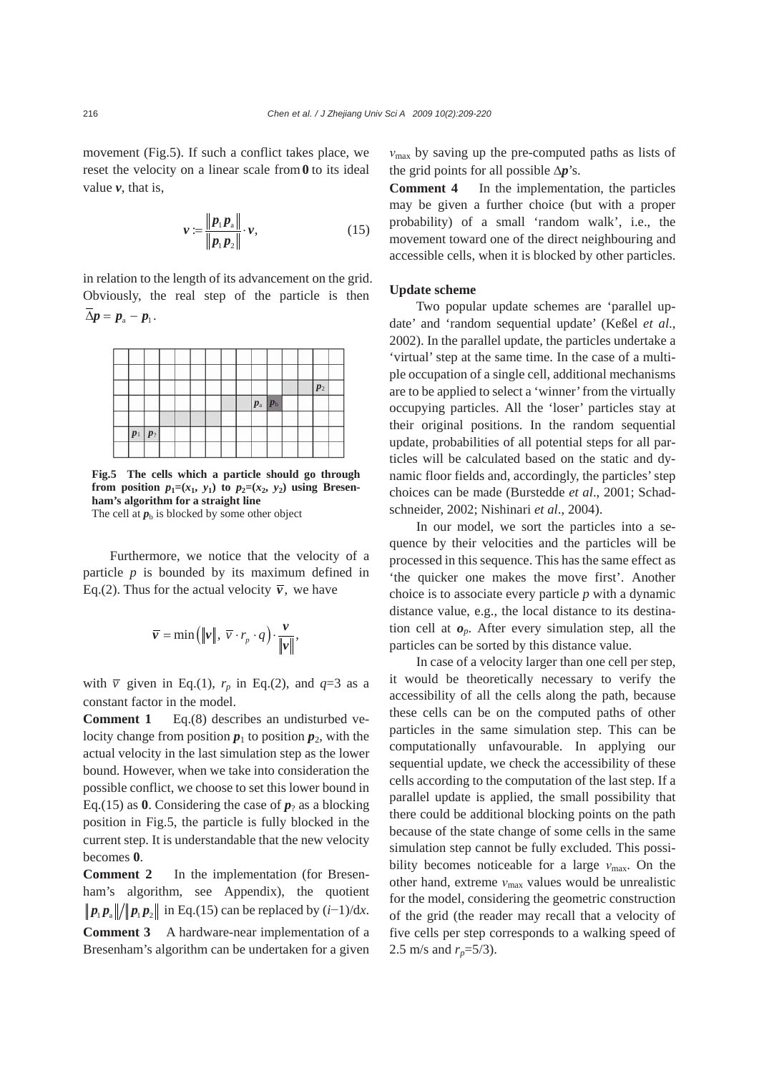movement (Fig.5). If such a conflict takes place, we reset the velocity on a linear scale from**0** to its ideal value *v*, that is,

$$
\nu := \frac{\left\| p_1 p_a \right\|}{\left\| p_1 p_2 \right\|} \cdot \nu, \tag{15}
$$

in relation to the length of its advancement on the grid. Obviously, the real step of the particle is then  $\overline{\Delta} p = p_{\scriptscriptstyle A} - p_{\scriptscriptstyle I}$ .



**Fig.5 The cells which a particle should go through** from position  $p_1=(x_1, y_1)$  to  $p_2=(x_2, y_2)$  using Bresen**ham's algorithm for a straight line**  The cell at  $p<sub>b</sub>$  is blocked by some other object

Furthermore, we notice that the velocity of a particle *p* is bounded by its maximum defined in Eq.(2). Thus for the actual velocity  $\overline{v}$ , we have

$$
\overline{\mathbf{v}} = \min\left(\|\mathbf{v}\|, \ \overline{\mathbf{v}} \cdot \mathbf{r}_p \cdot \mathbf{q}\right) \cdot \frac{\mathbf{v}}{\|\mathbf{v}\|},\
$$

with  $\overline{v}$  given in Eq.(1),  $r_p$  in Eq.(2), and  $q=3$  as a constant factor in the model.

**Comment 1** Eq.(8) describes an undisturbed velocity change from position  $p_1$  to position  $p_2$ , with the actual velocity in the last simulation step as the lower bound. However, when we take into consideration the possible conflict, we choose to set this lower bound in Eq.(15) as 0. Considering the case of  $p_2$  as a blocking position in Fig.5, the particle is fully blocked in the current step. It is understandable that the new velocity becomes **0**.

**Comment 2** In the implementation (for Bresenham's algorithm, see Appendix), the quotient  $||p_1 p_2||/||p_1 p_2||$  in Eq.(15) can be replaced by  $(i-1)/dx$ .

**Comment 3** A hardware-near implementation of a Bresenham's algorithm can be undertaken for a given

*ν*max by saving up the pre-computed paths as lists of the grid points for all possible Δ*p*'s.

**Comment 4** In the implementation, the particles may be given a further choice (but with a proper probability) of a small 'random walk', i.e., the movement toward one of the direct neighbouring and accessible cells, when it is blocked by other particles.

#### **Update scheme**

Two popular update schemes are 'parallel update' and 'random sequential update' (Keßel *et al*., 2002). In the parallel update, the particles undertake a 'virtual' step at the same time. In the case of a multiple occupation of a single cell, additional mechanisms are to be applied to select a 'winner' from the virtually occupying particles. All the 'loser' particles stay at their original positions. In the random sequential update, probabilities of all potential steps for all particles will be calculated based on the static and dynamic floor fields and, accordingly, the particles' step choices can be made (Burstedde *et al*., 2001; Schadschneider, 2002; Nishinari *et al*., 2004).

In our model, we sort the particles into a sequence by their velocities and the particles will be processed in this sequence. This has the same effect as 'the quicker one makes the move first'. Another choice is to associate every particle *p* with a dynamic distance value, e.g., the local distance to its destination cell at  $o_p$ . After every simulation step, all the particles can be sorted by this distance value.

In case of a velocity larger than one cell per step, it would be theoretically necessary to verify the accessibility of all the cells along the path, because these cells can be on the computed paths of other particles in the same simulation step. This can be computationally unfavourable. In applying our sequential update, we check the accessibility of these cells according to the computation of the last step. If a parallel update is applied, the small possibility that there could be additional blocking points on the path because of the state change of some cells in the same simulation step cannot be fully excluded. This possibility becomes noticeable for a large *ν*<sub>max</sub>. On the other hand, extreme *ν*max values would be unrealistic for the model, considering the geometric construction of the grid (the reader may recall that a velocity of five cells per step corresponds to a walking speed of 2.5 m/s and  $r_p = 5/3$ ).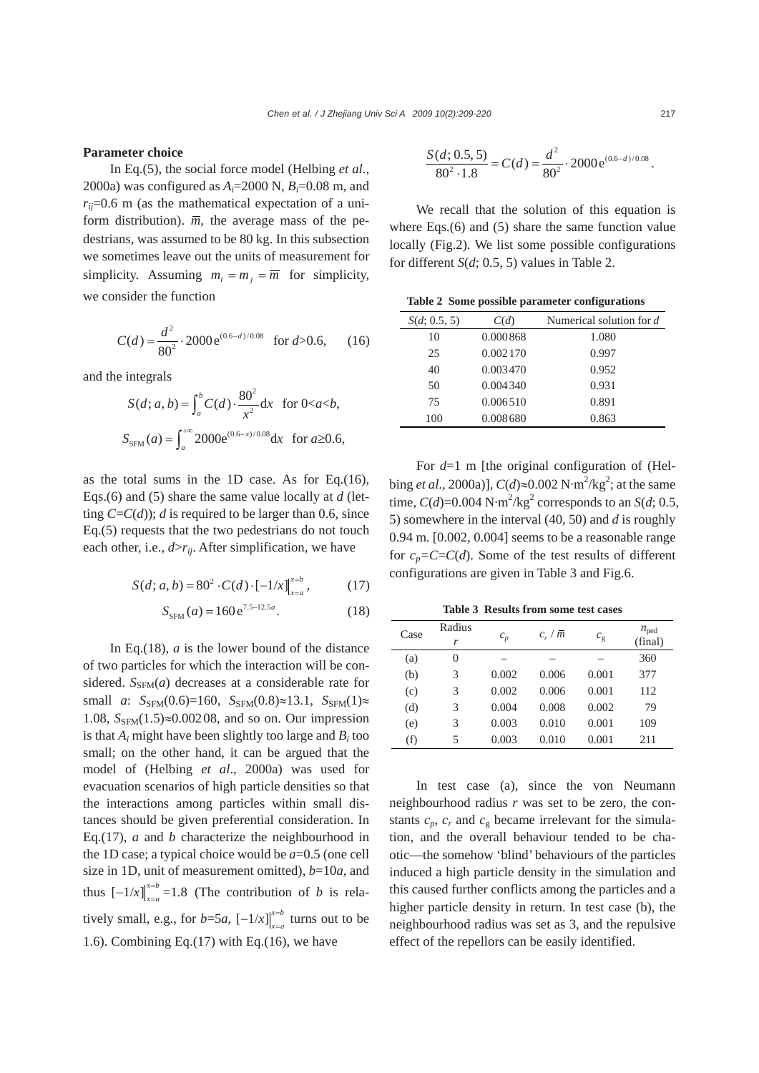## **Parameter choice**

In Eq.(5), the social force model (Helbing *et al*., 2000a) was configured as  $A_i=2000 \text{ N}, B_i=0.08 \text{ m}, \text{ and}$  $r_{ii}=0.6$  m (as the mathematical expectation of a uniform distribution).  $\overline{m}$ , the average mass of the pedestrians, was assumed to be 80 kg. In this subsection we sometimes leave out the units of measurement for simplicity. Assuming  $m_i = m_j = \overline{m}$  for simplicity, we consider the function

$$
C(d) = \frac{d^2}{80^2} \cdot 2000 e^{(0.6-d)/0.08} \quad \text{for } d > 0.6,
$$
 (16)

and the integrals

$$
S(d; a, b) = \int_{a}^{b} C(d) \cdot \frac{80^{2}}{x^{2}} dx \text{ for } 0 < a < b,
$$
  

$$
S_{\text{SFM}}(a) = \int_{a}^{+\infty} 2000 e^{(0.6-x)/0.08} dx \text{ for } a \ge 0.6,
$$

as the total sums in the 1D case. As for Eq.(16), Eqs.(6) and (5) share the same value locally at *d* (letting  $C=C(d)$ ; *d* is required to be larger than 0.6, since Eq.(5) requests that the two pedestrians do not touch each other, i.e.,  $d>r_{ij}$ . After simplification, we have

$$
S(d; a, b) = 802 \cdot C(d) \cdot [-1/x]_{x=a}^{x=b},
$$
 (17)

$$
S_{\rm SFM}(a) = 160 \,\mathrm{e}^{7.5 - 12.5a}.\tag{18}
$$

In Eq.(18), *a* is the lower bound of the distance of two particles for which the interaction will be considered.  $S_{SFM}(a)$  decreases at a considerable rate for small *a*:  $S_{\text{SFM}}(0.6)=160$ ,  $S_{\text{SFM}}(0.8) \approx 13.1$ ,  $S_{\text{SFM}}(1) \approx$ 1.08,  $S<sub>SEM</sub>(1.5)≈0.00208$ , and so on. Our impression is that  $A_i$  might have been slightly too large and  $B_i$  too small; on the other hand, it can be argued that the model of (Helbing *et al*., 2000a) was used for evacuation scenarios of high particle densities so that the interactions among particles within small distances should be given preferential consideration. In Eq.(17), *a* and *b* characterize the neighbourhood in the 1D case; a typical choice would be *a*=0.5 (one cell size in 1D, unit of measurement omitted), *b*=10*a*, and thus  $[-1/x]_{x=a}^{x=b}$  =1.8 (The contribution of *b* is relatively small, e.g., for  $b=5a$ ,  $\left[-1/x\right]_{x=a}^{x=b}$  turns out to be 1.6). Combining Eq.(17) with Eq.(16), we have

$$
\frac{S(d; 0.5, 5)}{80^2 \cdot 1.8} = C(d) = \frac{d^2}{80^2} \cdot 2000 e^{(0.6-d)/0.08}.
$$

We recall that the solution of this equation is where Eqs.(6) and (5) share the same function value locally (Fig.2). We list some possible configurations for different *S*(*d*; 0.5, 5) values in Table 2.

|  |  |  |  | Table 2 Some possible parameter configurations |
|--|--|--|--|------------------------------------------------|
|--|--|--|--|------------------------------------------------|

| S(d; 0.5, 5) | C(d)     | Numerical solution for d |
|--------------|----------|--------------------------|
| 10           | 0.000868 | 1.080                    |
| 25           | 0.002170 | 0.997                    |
| 40           | 0.003470 | 0.952                    |
| 50           | 0.004340 | 0.931                    |
| 75           | 0.006510 | 0.891                    |
| 100          | 0.008680 | 0.863                    |

For *d*=1 m [the original configuration of (Helbing *et al.*, 2000a)], *C*(*d*)≈0.002 N⋅m<sup>2</sup>/kg<sup>2</sup>; at the same time,  $C(d) = 0.004 \text{ N} \cdot \text{m}^2/\text{kg}^2$  corresponds to an *S*(*d*; 0.5, 5) somewhere in the interval (40, 50) and *d* is roughly 0.94 m. [0.002, 0.004] seems to be a reasonable range for  $c_p = C=C(d)$ . Some of the test results of different configurations are given in Table 3 and Fig.6.

**Table 3 Results from some test cases**

| Case | Radius<br>r    | $c_p$ | $c_r / \overline{m}$ | $c_{\rm g}$ | $n_{\text{ped}}$<br>(final) |
|------|----------------|-------|----------------------|-------------|-----------------------------|
| (a)  | $\overline{0}$ |       |                      |             | 360                         |
| (b)  | 3              | 0.002 | 0.006                | 0.001       | 377                         |
| (c)  | 3              | 0.002 | 0.006                | 0.001       | 112                         |
| (d)  | 3              | 0.004 | 0.008                | 0.002       | 79                          |
| (e)  | 3              | 0.003 | 0.010                | 0.001       | 109                         |
| (f)  | 5              | 0.003 | 0.010                | 0.001       | 2.11                        |

In test case (a), since the von Neumann neighbourhood radius *r* was set to be zero, the constants  $c_p$ ,  $c_r$  and  $c_g$  became irrelevant for the simulation, and the overall behaviour tended to be chaotic—the somehow 'blind' behaviours of the particles induced a high particle density in the simulation and this caused further conflicts among the particles and a higher particle density in return. In test case (b), the neighbourhood radius was set as 3, and the repulsive effect of the repellors can be easily identified.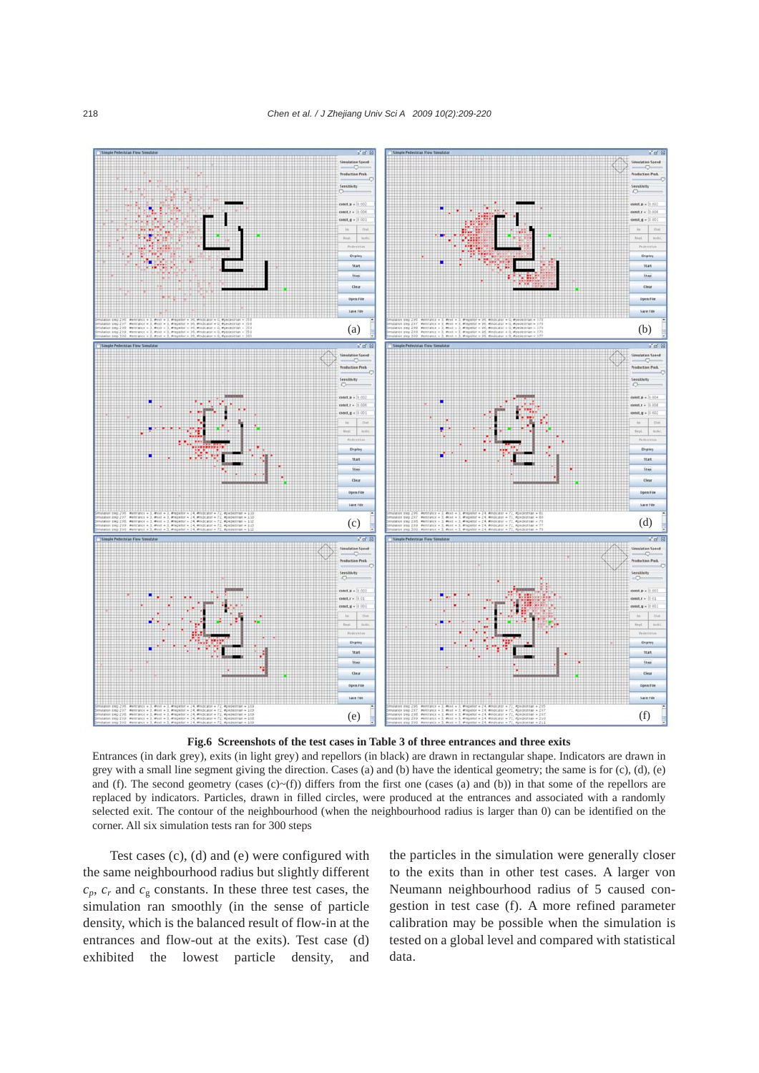

**Fig.6 Screenshots of the test cases in Table 3 of three entrances and three exits** 

Entrances (in dark grey), exits (in light grey) and repellors (in black) are drawn in rectangular shape. Indicators are drawn in grey with a small line segment giving the direction. Cases (a) and (b) have the identical geometry; the same is for (c), (d), (e) and (f). The second geometry (cases  $(c) \sim(f)$ ) differs from the first one (cases (a) and (b)) in that some of the repellors are replaced by indicators. Particles, drawn in filled circles, were produced at the entrances and associated with a randomly selected exit. The contour of the neighbourhood (when the neighbourhood radius is larger than 0) can be identified on the corner. All six simulation tests ran for 300 steps

Test cases (c), (d) and (e) were configured with the same neighbourhood radius but slightly different  $c_p$ ,  $c_r$  and  $c_g$  constants. In these three test cases, the simulation ran smoothly (in the sense of particle density, which is the balanced result of flow-in at the entrances and flow-out at the exits). Test case (d) exhibited the lowest particle density, and the particles in the simulation were generally closer to the exits than in other test cases. A larger von Neumann neighbourhood radius of 5 caused congestion in test case (f). A more refined parameter calibration may be possible when the simulation is tested on a global level and compared with statistical data.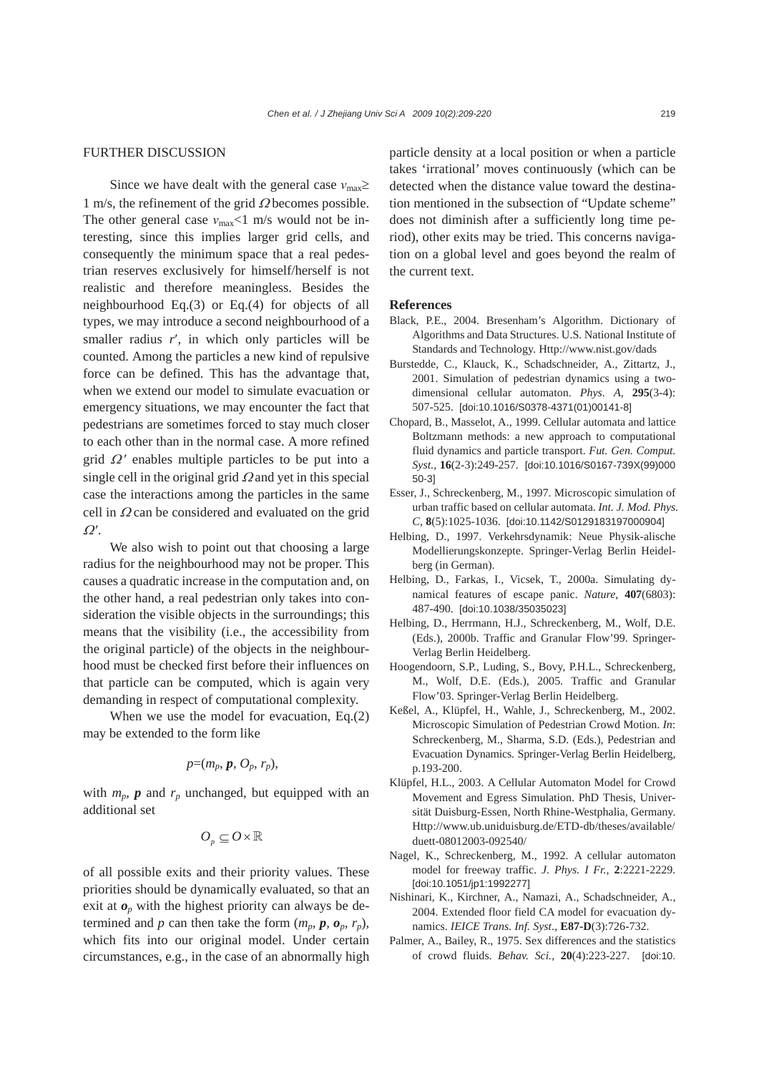#### FURTHER DISCUSSION

Since we have dealt with the general case  $v_{\text{max}} \geq$ 1 m/s, the refinement of the grid  $\Omega$  becomes possible. The other general case  $v_{\text{max}}$ <1 m/s would not be interesting, since this implies larger grid cells, and consequently the minimum space that a real pedestrian reserves exclusively for himself/herself is not realistic and therefore meaningless. Besides the neighbourhood Eq.(3) or Eq.(4) for objects of all types, we may introduce a second neighbourhood of a smaller radius *r'*, in which only particles will be counted. Among the particles a new kind of repulsive force can be defined. This has the advantage that, when we extend our model to simulate evacuation or emergency situations, we may encounter the fact that pedestrians are sometimes forced to stay much closer to each other than in the normal case. A more refined grid  $\Omega'$  enables multiple particles to be put into a single cell in the original grid  $\Omega$  and yet in this special case the interactions among the particles in the same cell in  $\Omega$  can be considered and evaluated on the grid  $\Omega'$ .

We also wish to point out that choosing a large radius for the neighbourhood may not be proper. This causes a quadratic increase in the computation and, on the other hand, a real pedestrian only takes into consideration the visible objects in the surroundings; this means that the visibility (i.e., the accessibility from the original particle) of the objects in the neighbourhood must be checked first before their influences on that particle can be computed, which is again very demanding in respect of computational complexity.

When we use the model for evacuation, Eq.(2) may be extended to the form like

$$
p=(m_p, p, O_p, r_p),
$$

with  $m_p$ ,  $\boldsymbol{p}$  and  $r_p$  unchanged, but equipped with an additional set

$$
O_p \subseteq O \times \mathbb{R}
$$

of all possible exits and their priority values. These priorities should be dynamically evaluated, so that an exit at  $o_p$  with the highest priority can always be determined and *p* can then take the form  $(m_p, p, o_p, r_p)$ , which fits into our original model. Under certain circumstances, e.g., in the case of an abnormally high particle density at a local position or when a particle takes 'irrational' moves continuously (which can be detected when the distance value toward the destination mentioned in the subsection of "Update scheme" does not diminish after a sufficiently long time period), other exits may be tried. This concerns navigation on a global level and goes beyond the realm of the current text.

#### **References**

- Black, P.E., 2004. Bresenham's Algorithm. Dictionary of Algorithms and Data Structures. U.S. National Institute of Standards and Technology. Http://www.nist.gov/dads
- Burstedde, C., Klauck, K., Schadschneider, A., Zittartz, J., 2001. Simulation of pedestrian dynamics using a twodimensional cellular automaton. *Phys. A*, **295**(3-4): 507-525. [doi:10.1016/S0378-4371(01)00141-8]
- Chopard, B., Masselot, A., 1999. Cellular automata and lattice Boltzmann methods: a new approach to computational fluid dynamics and particle transport. *Fut. Gen. Comput. Syst.*, **16**(2-3):249-257. [doi:10.1016/S0167-739X(99)000 50-3]
- Esser, J., Schreckenberg, M., 1997. Microscopic simulation of urban traffic based on cellular automata. *Int. J. Mod. Phys. C*, **8**(5):1025-1036. [doi:10.1142/S0129183197000904]
- Helbing, D., 1997. Verkehrsdynamik: Neue Physik-alische Modellierungskonzepte. Springer-Verlag Berlin Heidelberg (in German).
- Helbing, D., Farkas, I., Vicsek, T., 2000a. Simulating dynamical features of escape panic. *Nature*, **407**(6803): 487-490. [doi:10.1038/35035023]
- Helbing, D., Herrmann, H.J., Schreckenberg, M., Wolf, D.E. (Eds.), 2000b. Traffic and Granular Flow'99. Springer-Verlag Berlin Heidelberg.
- Hoogendoorn, S.P., Luding, S., Bovy, P.H.L., Schreckenberg, M., Wolf, D.E. (Eds.), 2005. Traffic and Granular Flow'03. Springer-Verlag Berlin Heidelberg.
- Keßel, A., Klüpfel, H., Wahle, J., Schreckenberg, M., 2002. Microscopic Simulation of Pedestrian Crowd Motion. *In*: Schreckenberg, M., Sharma, S.D. (Eds.), Pedestrian and Evacuation Dynamics. Springer-Verlag Berlin Heidelberg, p.193-200.
- Klüpfel, H.L., 2003. A Cellular Automaton Model for Crowd Movement and Egress Simulation. PhD Thesis, Universität Duisburg-Essen, North Rhine-Westphalia, Germany. Http://www.ub.uniduisburg.de/ETD-db/theses/available/ duett-08012003-092540/
- Nagel, K., Schreckenberg, M., 1992. A cellular automaton model for freeway traffic. *J. Phys. I Fr.*, **2**:2221-2229. [doi:10.1051/jp1:1992277]
- Nishinari, K., Kirchner, A., Namazi, A., Schadschneider, A., 2004. Extended floor field CA model for evacuation dynamics. *IEICE Trans. Inf. Syst*., **E87-D**(3):726-732.
- Palmer, A., Bailey, R., 1975. Sex differences and the statistics of crowd fluids. *Behav. Sci.*, **20**(4):223-227. [doi:10.